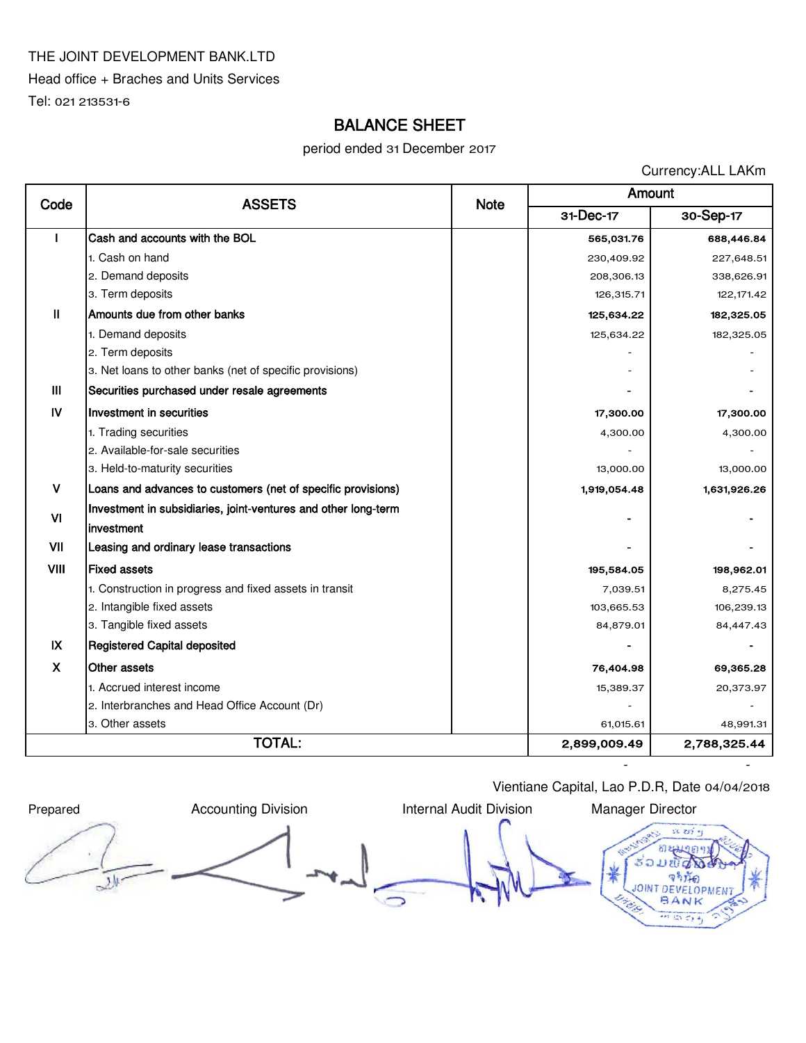## BALANCE SHEET

period ended 31 December 2017

Currency:ALL LAKm

| Code           | <b>ASSETS</b><br><b>Note</b>                                   |  | Amount       |              |
|----------------|----------------------------------------------------------------|--|--------------|--------------|
|                |                                                                |  | 31-Dec-17    | 30-Sep-17    |
| ı              | Cash and accounts with the BOL                                 |  | 565,031.76   | 688,446.84   |
|                | 1. Cash on hand                                                |  | 230,409.92   | 227,648.51   |
|                | 2. Demand deposits                                             |  | 208,306.13   | 338,626.91   |
|                | 3. Term deposits                                               |  | 126,315.71   | 122, 171.42  |
| Ш              | Amounts due from other banks                                   |  | 125,634.22   | 182,325.05   |
|                | 1. Demand deposits                                             |  | 125,634.22   | 182,325.05   |
|                | 2. Term deposits                                               |  |              |              |
|                | 3. Net loans to other banks (net of specific provisions)       |  |              |              |
| $\mathbf{III}$ | Securities purchased under resale agreements                   |  |              |              |
| IV             | Investment in securities                                       |  | 17,300.00    | 17,300.00    |
|                | 1. Trading securities                                          |  | 4,300.00     | 4,300.00     |
|                | 2. Available-for-sale securities                               |  |              |              |
|                | 3. Held-to-maturity securities                                 |  | 13,000.00    | 13,000.00    |
| $\mathsf{V}$   | Loans and advances to customers (net of specific provisions)   |  | 1,919,054.48 | 1,631,926.26 |
|                | Investment in subsidiaries, joint-ventures and other long-term |  |              |              |
| VI             | investment                                                     |  |              |              |
| VII            | Leasing and ordinary lease transactions                        |  |              |              |
| <b>VIII</b>    | <b>Fixed assets</b>                                            |  | 195,584.05   | 198,962.01   |
|                | 1. Construction in progress and fixed assets in transit        |  | 7,039.51     | 8,275.45     |
|                | 2. Intangible fixed assets                                     |  | 103,665.53   | 106,239.13   |
|                | 3. Tangible fixed assets                                       |  | 84,879.01    | 84,447.43    |
| IX             | <b>Registered Capital deposited</b>                            |  |              |              |
| X              | Other assets                                                   |  | 76,404.98    | 69,365.28    |
|                | 1. Accrued interest income                                     |  | 15,389.37    | 20,373.97    |
|                | 2. Interbranches and Head Office Account (Dr)                  |  |              |              |
|                | 3. Other assets                                                |  | 61,015.61    | 48,991.31    |
| <b>TOTAL:</b>  |                                                                |  | 2,899,009.49 | 2,788,325.44 |

Vientiane Capital, Lao P.D.R, Date 04/04/2018

- - - - - - - - - - - - - - - -

Prepared **Accounting Division** Internal Audit Division Manager Director se est y 80  $\overline{\mathcal{L}}$ จานัค DEVELOPMEN BANK  $\overline{S}$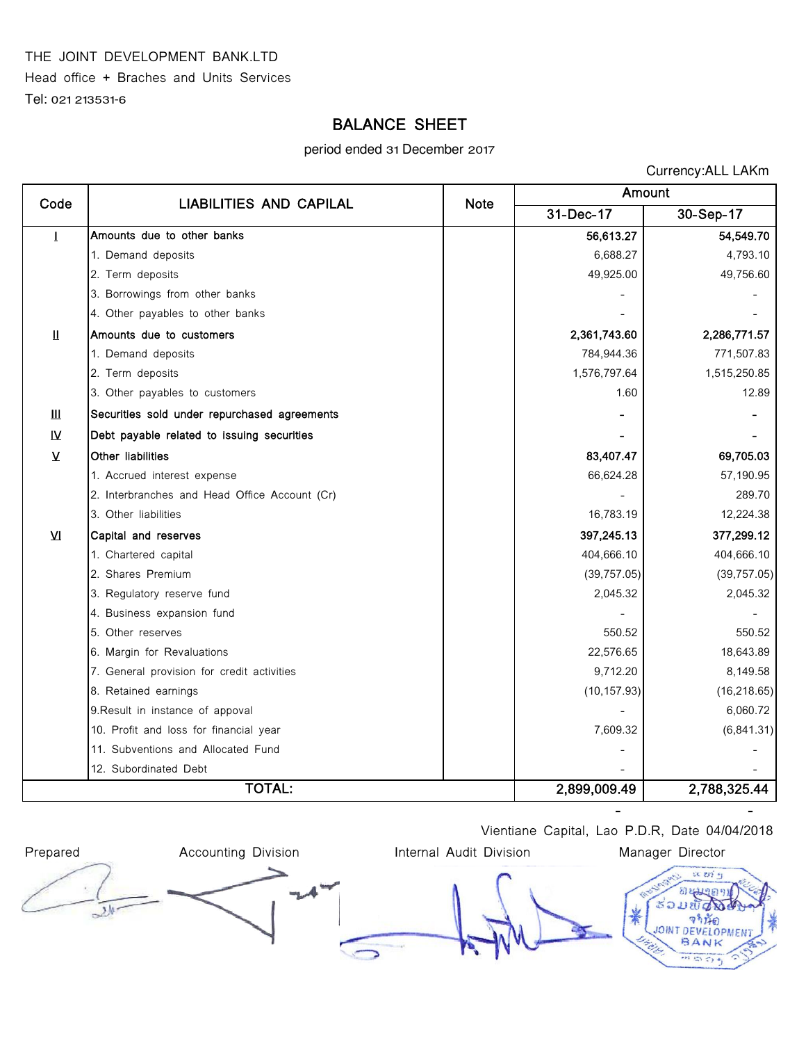THE JOINT DEVELOPMENT BANK.LTD

Head office + Braches and Units Services

Tel: 021 213531-6

## BALANCE SHEET

period ended 31 December 2017

Currency:ALL LAKm

| Code                      | <b>LIABILITIES AND CAPILAL</b>                | <b>Note</b> | Amount       |              |  |
|---------------------------|-----------------------------------------------|-------------|--------------|--------------|--|
|                           |                                               |             | 31-Dec-17    | 30-Sep-17    |  |
| $\mathbf{I}$              | Amounts due to other banks                    |             | 56,613.27    | 54,549.70    |  |
|                           | 1. Demand deposits                            |             | 6,688.27     | 4,793.10     |  |
|                           | 2. Term deposits                              |             | 49,925.00    | 49,756.60    |  |
|                           | 3. Borrowings from other banks                |             |              |              |  |
|                           | 4. Other payables to other banks              |             |              |              |  |
| $\mathbf{\underline{II}}$ | Amounts due to customers                      |             | 2,361,743.60 | 2,286,771.57 |  |
|                           | 1. Demand deposits                            |             | 784,944.36   | 771,507.83   |  |
|                           | 2. Term deposits                              |             | 1,576,797.64 | 1,515,250.85 |  |
|                           | 3. Other payables to customers                |             | 1.60         | 12.89        |  |
| Ш                         | Securities sold under repurchased agreements  |             |              |              |  |
| $\underline{\mathbf{W}}$  | Debt payable related to issuing securities    |             |              |              |  |
| $\mathbf{\underline{V}}$  | Other liabilities                             |             | 83,407.47    | 69,705.03    |  |
|                           | 1. Accrued interest expense                   |             | 66,624.28    | 57,190.95    |  |
|                           | 2. Interbranches and Head Office Account (Cr) |             |              | 289.70       |  |
|                           | 3. Other liabilities                          |             | 16,783.19    | 12,224.38    |  |
| $\underline{\mathsf{M}}$  | Capital and reserves                          |             | 397,245.13   | 377,299.12   |  |
|                           | 1. Chartered capital                          |             | 404,666.10   | 404,666.10   |  |
|                           | 2. Shares Premium                             |             | (39, 757.05) | (39, 757.05) |  |
|                           | 3. Regulatory reserve fund                    |             | 2,045.32     | 2,045.32     |  |
|                           | 4. Business expansion fund                    |             |              |              |  |
|                           | 5. Other reserves                             |             | 550.52       | 550.52       |  |
|                           | 6. Margin for Revaluations                    |             | 22,576.65    | 18,643.89    |  |
|                           | 7. General provision for credit activities    |             | 9,712.20     | 8,149.58     |  |
|                           | 8. Retained earnings                          |             | (10, 157.93) | (16, 218.65) |  |
|                           | 9. Result in instance of appoval              |             |              | 6,060.72     |  |
|                           | 10. Profit and loss for financial year        |             | 7,609.32     | (6,841.31)   |  |
|                           | 11. Subventions and Allocated Fund            |             |              |              |  |
|                           | 12. Subordinated Debt                         |             |              |              |  |
|                           | <b>TOTAL:</b>                                 |             | 2,899,009.49 | 2,788,325.44 |  |

Prepared **Accounting Division** Internal Audit Division Manager Director ኴ  $\overline{\mathcal{L}}$ 





Vientiane Capital, Lao P.D.R, Date 04/04/2018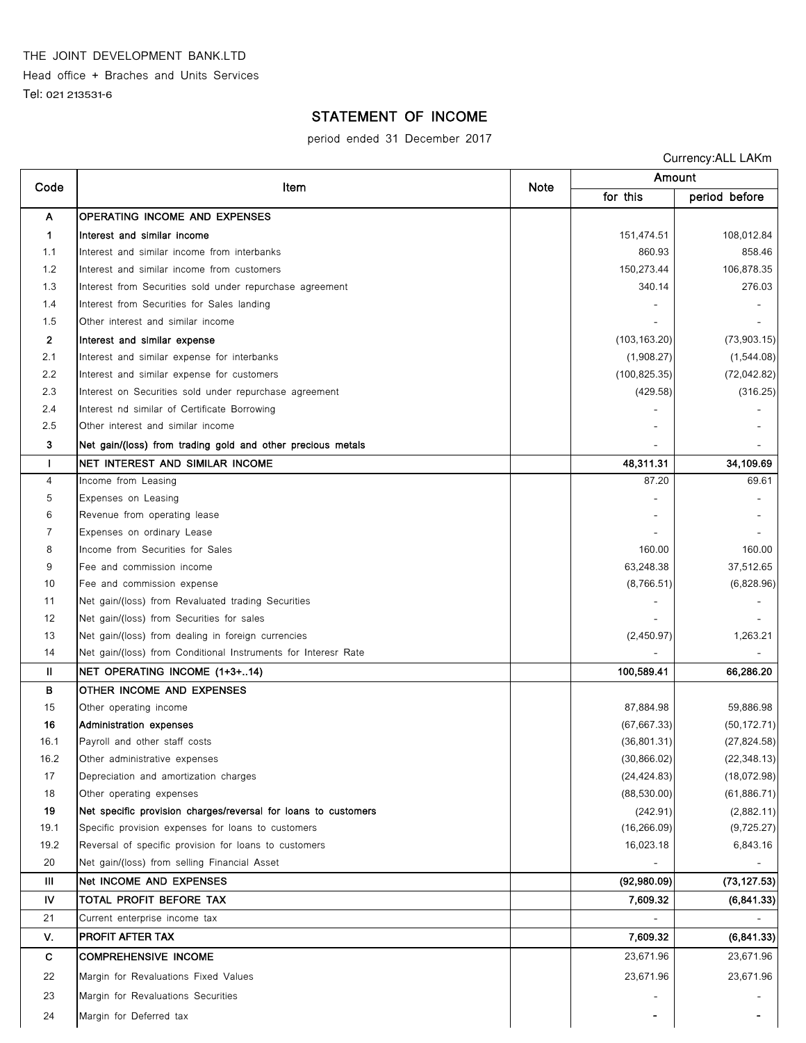THE JOINT DEVELOPMENT BANK.LTD

Head office + Braches and Units Services

Tel: 021 213531-6

## STATEMENT OF INCOME

period ended 31 December 2017

Currency:ALL LAKm

| Code         | Item                                                           | Note | Amount        |               |
|--------------|----------------------------------------------------------------|------|---------------|---------------|
|              |                                                                |      | for this      | period before |
| A            | <b>OPERATING INCOME AND EXPENSES</b>                           |      |               |               |
| 1            | Interest and similar income                                    |      | 151,474.51    | 108,012.84    |
| 1.1          | Interest and similar income from interbanks                    |      | 860.93        | 858.46        |
| 1.2          | Interest and similar income from customers                     |      | 150,273.44    | 106,878.35    |
| 1.3          | Interest from Securities sold under repurchase agreement       |      | 340.14        | 276.03        |
| 1.4          | Interest from Securities for Sales landing                     |      |               |               |
| 1.5          | Other interest and similar income                              |      |               |               |
| $\mathbf{2}$ | Interest and similar expense                                   |      | (103, 163.20) | (73,903.15)   |
| 2.1          | Interest and similar expense for interbanks                    |      | (1,908.27)    | (1,544.08)    |
| 2.2          | Interest and similar expense for customers                     |      | (100, 825.35) | (72,042.82)   |
| 2.3          | Interest on Securities sold under repurchase agreement         |      | (429.58)      | (316.25)      |
| 2.4          | Interest nd similar of Certificate Borrowing                   |      |               |               |
| 2.5          | Other interest and similar income                              |      |               |               |
| 3            | Net gain/(loss) from trading gold and other precious metals    |      |               |               |
| $\mathbf{I}$ | NET INTEREST AND SIMILAR INCOME                                |      | 48,311.31     | 34,109.69     |
| 4            | Income from Leasing                                            |      | 87.20         | 69.61         |
| 5            | Expenses on Leasing                                            |      |               |               |
| 6            | Revenue from operating lease                                   |      |               |               |
| 7            | Expenses on ordinary Lease                                     |      |               |               |
| 8            | Income from Securities for Sales                               |      | 160.00        | 160.00        |
| 9            | Fee and commission income                                      |      | 63,248.38     | 37,512.65     |
| 10           | Fee and commission expense                                     |      | (8,766.51)    | (6,828.96)    |
| 11           | Net gain/(loss) from Revaluated trading Securities             |      |               |               |
| 12           | Net gain/(loss) from Securities for sales                      |      |               |               |
| 13           | Net gain/(loss) from dealing in foreign currencies             |      | (2,450.97)    | 1,263.21      |
| 14           | Net gain/(loss) from Conditional Instruments for Interesr Rate |      |               |               |
| Ш            | NET OPERATING INCOME (1+3+14)                                  |      | 100,589.41    | 66,286.20     |
| в            | OTHER INCOME AND EXPENSES                                      |      |               |               |
| 15           | Other operating income                                         |      | 87,884.98     | 59,886.98     |
| 16           | Administration expenses                                        |      | (67, 667.33)  | (50, 172.71)  |
| 16.1         | Payroll and other staff costs                                  |      | (36, 801.31)  | (27, 824.58)  |
| 16.2         | Other administrative expenses                                  |      | (30, 866.02)  | (22, 348.13)  |
| 17           | Depreciation and amortization charges                          |      | (24, 424.83)  | (18,072.98)   |
| 18           | Other operating expenses                                       |      | (88, 530.00)  | (61, 886.71)  |
| 19           | Net specific provision charges/reversal for loans to customers |      | (242.91)      | (2,882.11)    |
| 19.1         | Specific provision expenses for loans to customers             |      | (16, 266.09)  | (9,725.27)    |
| 19.2         | Reversal of specific provision for loans to customers          |      | 16,023.18     | 6,843.16      |
| 20           | Net gain/(loss) from selling Financial Asset                   |      |               |               |
| Ш            | Net INCOME AND EXPENSES                                        |      | (92,980.09)   | (73, 127.53)  |
| IV.          | TOTAL PROFIT BEFORE TAX                                        |      | 7,609.32      | (6, 841.33)   |
| 21           | Current enterprise income tax                                  |      |               |               |
| v.           | PROFIT AFTER TAX                                               |      | 7,609.32      | (6, 841.33)   |
| С            | <b>COMPREHENSIVE INCOME</b>                                    |      | 23,671.96     | 23,671.96     |
| 22           | Margin for Revaluations Fixed Values                           |      | 23,671.96     | 23,671.96     |
| 23           | Margin for Revaluations Securities                             |      |               |               |
| 24           | Margin for Deferred tax                                        |      |               |               |
|              |                                                                |      |               |               |